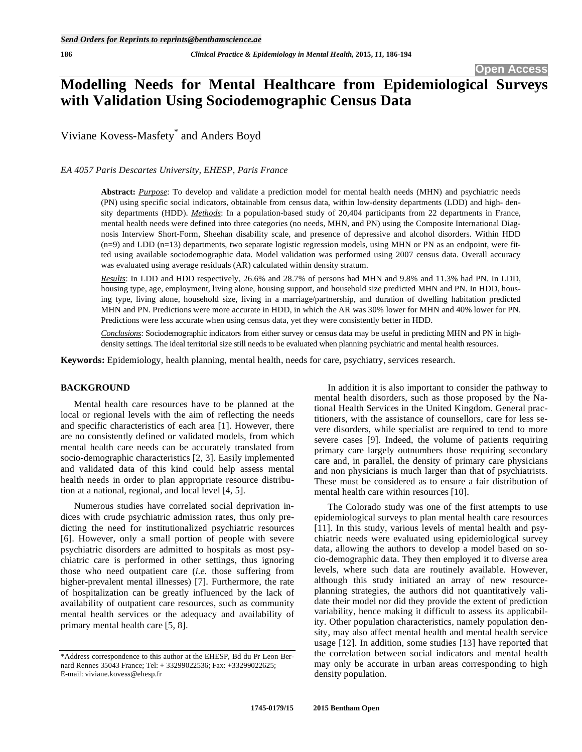# **Modelling Needs for Mental Healthcare from Epidemiological Surveys with Validation Using Sociodemographic Census Data**

Viviane Kovess-Masfety\* and Anders Boyd

*EA 4057 Paris Descartes University, EHESP, Paris France* 

**Abstract:** *Purpose*: To develop and validate a prediction model for mental health needs (MHN) and psychiatric needs (PN) using specific social indicators, obtainable from census data, within low-density departments (LDD) and high- density departments (HDD). *Methods*: In a population-based study of 20,404 participants from 22 departments in France, mental health needs were defined into three categories (no needs, MHN, and PN) using the Composite International Diagnosis Interview Short-Form, Sheehan disability scale, and presence of depressive and alcohol disorders. Within HDD (n=9) and LDD (n=13) departments, two separate logistic regression models, using MHN or PN as an endpoint, were fitted using available sociodemographic data. Model validation was performed using 2007 census data. Overall accuracy was evaluated using average residuals (AR) calculated within density stratum.

*Results*: In LDD and HDD respectively, 26.6% and 28.7% of persons had MHN and 9.8% and 11.3% had PN. In LDD, housing type, age, employment, living alone, housing support, and household size predicted MHN and PN. In HDD, housing type, living alone, household size, living in a marriage/partnership, and duration of dwelling habitation predicted MHN and PN. Predictions were more accurate in HDD, in which the AR was 30% lower for MHN and 40% lower for PN. Predictions were less accurate when using census data, yet they were consistently better in HDD.

*Conclusions*: Sociodemographic indicators from either survey or census data may be useful in predicting MHN and PN in highdensity settings. The ideal territorial size still needs to be evaluated when planning psychiatric and mental health resources.

**Keywords:** Epidemiology, health planning, mental health, needs for care, psychiatry, services research.

# **BACKGROUND**

Mental health care resources have to be planned at the local or regional levels with the aim of reflecting the needs and specific characteristics of each area [1]. However, there are no consistently defined or validated models, from which mental health care needs can be accurately translated from socio-demographic characteristics [2, 3]. Easily implemented and validated data of this kind could help assess mental health needs in order to plan appropriate resource distribution at a national, regional, and local level [4, 5].

Numerous studies have correlated social deprivation indices with crude psychiatric admission rates, thus only predicting the need for institutionalized psychiatric resources [6]. However, only a small portion of people with severe psychiatric disorders are admitted to hospitals as most psychiatric care is performed in other settings, thus ignoring those who need outpatient care (*i.e.* those suffering from higher-prevalent mental illnesses) [7]. Furthermore, the rate of hospitalization can be greatly influenced by the lack of availability of outpatient care resources, such as community mental health services or the adequacy and availability of primary mental health care [5, 8].

In addition it is also important to consider the pathway to mental health disorders, such as those proposed by the National Health Services in the United Kingdom. General practitioners, with the assistance of counsellors, care for less severe disorders, while specialist are required to tend to more severe cases [9]. Indeed, the volume of patients requiring primary care largely outnumbers those requiring secondary care and, in parallel, the density of primary care physicians and non physicians is much larger than that of psychiatrists. These must be considered as to ensure a fair distribution of mental health care within resources [10].

The Colorado study was one of the first attempts to use epidemiological surveys to plan mental health care resources [11]. In this study, various levels of mental health and psychiatric needs were evaluated using epidemiological survey data, allowing the authors to develop a model based on socio-demographic data. They then employed it to diverse area levels, where such data are routinely available. However, although this study initiated an array of new resourceplanning strategies, the authors did not quantitatively validate their model nor did they provide the extent of prediction variability, hence making it difficult to assess its applicability. Other population characteristics, namely population density, may also affect mental health and mental health service usage [12]. In addition, some studies [13] have reported that the correlation between social indicators and mental health may only be accurate in urban areas corresponding to high density population.

<sup>\*</sup>Address correspondence to this author at the EHESP, Bd du Pr Leon Bernard Rennes 35043 France; Tel: + 33299022536; Fax: +33299022625; E-mail: viviane.kovess@ehesp.fr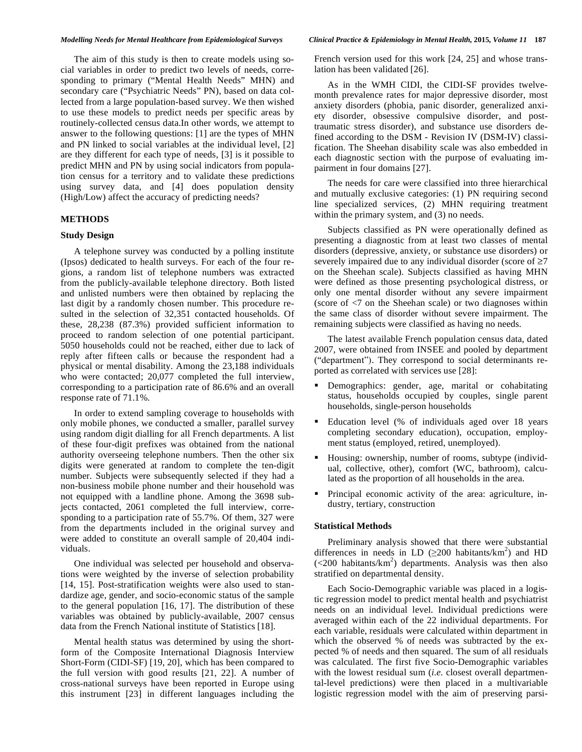### *Modelling Needs for Mental Healthcare from Epidemiological Surveys Clinical Practice & Epidemiology in Mental Health,* **2015***, Volume 11* **187**

The aim of this study is then to create models using social variables in order to predict two levels of needs, corresponding to primary ("Mental Health Needs" MHN) and secondary care ("Psychiatric Needs" PN), based on data collected from a large population-based survey. We then wished to use these models to predict needs per specific areas by routinely-collected census data.In other words, we attempt to answer to the following questions: [1] are the types of MHN and PN linked to social variables at the individual level, [2] are they different for each type of needs, [3] is it possible to predict MHN and PN by using social indicators from population census for a territory and to validate these predictions using survey data, and [4] does population density (High/Low) affect the accuracy of predicting needs?

# **METHODS**

# **Study Design**

A telephone survey was conducted by a polling institute (Ipsos) dedicated to health surveys. For each of the four regions, a random list of telephone numbers was extracted from the publicly-available telephone directory. Both listed and unlisted numbers were then obtained by replacing the last digit by a randomly chosen number. This procedure resulted in the selection of 32,351 contacted households. Of these, 28,238 (87.3%) provided sufficient information to proceed to random selection of one potential participant. 5050 households could not be reached, either due to lack of reply after fifteen calls or because the respondent had a physical or mental disability. Among the 23,188 individuals who were contacted; 20,077 completed the full interview, corresponding to a participation rate of 86.6% and an overall response rate of 71.1%.

In order to extend sampling coverage to households with only mobile phones, we conducted a smaller, parallel survey using random digit dialling for all French departments. A list of these four-digit prefixes was obtained from the national authority overseeing telephone numbers. Then the other six digits were generated at random to complete the ten-digit number. Subjects were subsequently selected if they had a non-business mobile phone number and their household was not equipped with a landline phone. Among the 3698 subjects contacted, 2061 completed the full interview, corresponding to a participation rate of 55.7%. Of them, 327 were from the departments included in the original survey and were added to constitute an overall sample of 20,404 individuals.

One individual was selected per household and observations were weighted by the inverse of selection probability [14, 15]. Post-stratification weights were also used to standardize age, gender, and socio-economic status of the sample to the general population [16, 17]. The distribution of these variables was obtained by publicly-available, 2007 census data from the French National institute of Statistics [18].

Mental health status was determined by using the shortform of the Composite International Diagnosis Interview Short-Form (CIDI-SF) [19, 20], which has been compared to the full version with good results [21, 22]. A number of cross-national surveys have been reported in Europe using this instrument [23] in different languages including the

French version used for this work [24, 25] and whose translation has been validated [26].

As in the WMH CIDI, the CIDI-SF provides twelvemonth prevalence rates for major depressive disorder, most anxiety disorders (phobia, panic disorder, generalized anxiety disorder, obsessive compulsive disorder, and posttraumatic stress disorder), and substance use disorders defined according to the DSM - Revision IV (DSM-IV) classification. The Sheehan disability scale was also embedded in each diagnostic section with the purpose of evaluating impairment in four domains [27].

The needs for care were classified into three hierarchical and mutually exclusive categories: (1) PN requiring second line specialized services, (2) MHN requiring treatment within the primary system, and  $(3)$  no needs.

Subjects classified as PN were operationally defined as presenting a diagnostic from at least two classes of mental disorders (depressive, anxiety, or substance use disorders) or severely impaired due to any individual disorder (score of  $\geq 7$ on the Sheehan scale). Subjects classified as having MHN were defined as those presenting psychological distress, or only one mental disorder without any severe impairment (score of <7 on the Sheehan scale) or two diagnoses within the same class of disorder without severe impairment. The remaining subjects were classified as having no needs.

The latest available French population census data, dated 2007, were obtained from INSEE and pooled by department ("department"). They correspond to social determinants reported as correlated with services use [28]:

- Demographics: gender, age, marital or cohabitating status, households occupied by couples, single parent households, single-person households
- Education level (% of individuals aged over 18 years completing secondary education), occupation, employment status (employed, retired, unemployed).
- Housing: ownership, number of rooms, subtype (individual, collective, other), comfort (WC, bathroom), calculated as the proportion of all households in the area.
- Principal economic activity of the area: agriculture, industry, tertiary, construction

# **Statistical Methods**

Preliminary analysis showed that there were substantial differences in needs in LD  $(\geq 200 \text{ habitats/km}^2)$  and HD  $\left($  <200 habitants/km<sup>2</sup>) departments. Analysis was then also stratified on departmental density.

Each Socio-Demographic variable was placed in a logistic regression model to predict mental health and psychiatrist needs on an individual level. Individual predictions were averaged within each of the 22 individual departments. For each variable, residuals were calculated within department in which the observed % of needs was subtracted by the expected % of needs and then squared. The sum of all residuals was calculated. The first five Socio-Demographic variables with the lowest residual sum (*i.e.* closest overall departmental-level predictions) were then placed in a multivariable logistic regression model with the aim of preserving parsi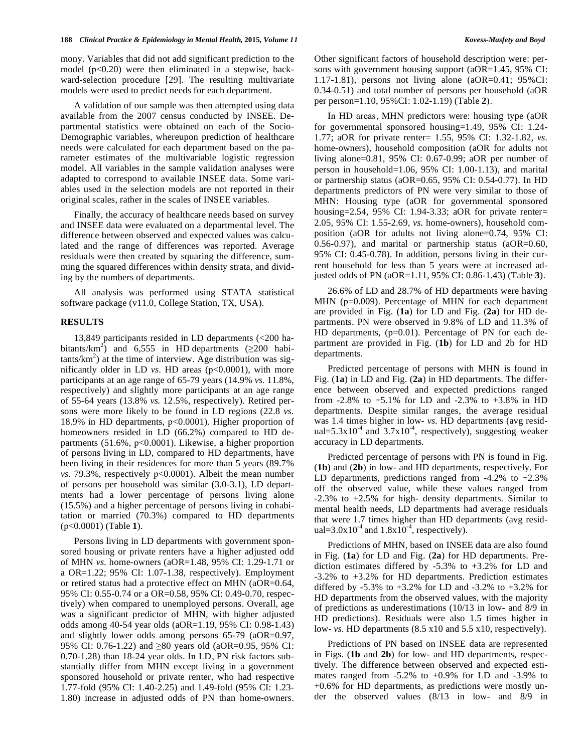mony. Variables that did not add significant prediction to the model  $(p<0.20)$  were then eliminated in a stepwise, backward-selection procedure [29]. The resulting multivariate models were used to predict needs for each department.

A validation of our sample was then attempted using data available from the 2007 census conducted by INSEE. Departmental statistics were obtained on each of the Socio-Demographic variables, whereupon prediction of healthcare needs were calculated for each department based on the parameter estimates of the multivariable logistic regression model. All variables in the sample validation analyses were adapted to correspond to available INSEE data. Some variables used in the selection models are not reported in their original scales, rather in the scales of INSEE variables.

Finally, the accuracy of healthcare needs based on survey and INSEE data were evaluated on a departmental level. The difference between observed and expected values was calculated and the range of differences was reported. Average residuals were then created by squaring the difference, summing the squared differences within density strata, and dividing by the numbers of departments.

All analysis was performed using STATA statistical software package (v11.0, College Station, TX, USA).

# **RESULTS**

13,849 participants resided in LD departments (<200 habitants/km<sup>2</sup>) and 6,555 in HD departments ( $\geq$ 200 habi $tants/km<sup>2</sup>$ ) at the time of interview. Age distribution was significantly older in LD *vs.* HD areas (p<0.0001), with more participants at an age range of 65-79 years (14.9% *vs.* 11.8%, respectively) and slightly more participants at an age range of 55-64 years (13.8% *vs.* 12.5%, respectively). Retired persons were more likely to be found in LD regions (22.8 *vs.*  18.9% in HD departments, p<0.0001). Higher proportion of homeowners resided in LD (66.2%) compared to HD departments (51.6%, p<0.0001). Likewise, a higher proportion of persons living in LD, compared to HD departments, have been living in their residences for more than 5 years (89.7% *vs.* 79.3%, respectively p<0.0001). Albeit the mean number of persons per household was similar (3.0-3.1), LD departments had a lower percentage of persons living alone (15.5%) and a higher percentage of persons living in cohabitation or married (70.3%) compared to HD departments (p<0.0001) (Table **1**).

Persons living in LD departments with government sponsored housing or private renters have a higher adjusted odd of MHN *vs.* home-owners (aOR=1.48, 95% CI: 1.29-1.71 or a OR=1.22; 95% CI: 1.07-1.38, respectively). Employment or retired status had a protective effect on MHN (aOR=0.64, 95% CI: 0.55-0.74 or a OR=0.58, 95% CI: 0.49-0.70, respectively) when compared to unemployed persons. Overall, age was a significant predictor of MHN, with higher adjusted odds among 40-54 year olds (aOR=1.19, 95% CI: 0.98-1.43) and slightly lower odds among persons 65-79 (aOR=0.97, 95% CI: 0.76-1.22) and  $\geq 80$  years old (aOR=0.95, 95% CI: 0.70-1.28) than 18-24 year olds. In LD, PN risk factors substantially differ from MHN except living in a government sponsored household or private renter, who had respective 1.77-fold (95% CI: 1.40-2.25) and 1.49-fold (95% CI: 1.23- 1.80) increase in adjusted odds of PN than home-owners. Other significant factors of household description were: persons with government housing support (aOR=1.45, 95% CI: 1.17-1.81), persons not living alone (aOR=0.41; 95%CI: 0.34-0.51) and total number of persons per household (aOR per person=1.10, 95%CI: 1.02-1.19) (Table **2**).

In HD areas, MHN predictors were: housing type (aOR for governmental sponsored housing=1.49, 95% CI: 1.24- 1.77; aOR for private renter= 1.55, 95% CI: 1.32-1.82, *vs.*  home-owners), household composition (aOR for adults not living alone=0.81, 95% CI: 0.67-0.99; aOR per number of person in household=1.06, 95% CI: 1.00-1.13), and marital or partnership status (aOR=0.65, 95% CI: 0.54-0.77). In HD departments predictors of PN were very similar to those of MHN: Housing type (aOR for governmental sponsored housing=2.54, 95% CI: 1.94-3.33; aOR for private renter= 2.05, 95% CI: 1.55-2.69, *vs.* home-owners), household composition (aOR for adults not living alone=0.74, 95% CI: 0.56-0.97), and marital or partnership status (aOR=0.60, 95% CI: 0.45-0.78). In addition, persons living in their current household for less than 5 years were at increased adjusted odds of PN (aOR=1.11, 95% CI: 0.86-1.43) (Table **3**).

26.6% of LD and 28.7% of HD departments were having MHN (p=0.009). Percentage of MHN for each department are provided in Fig. (**1a**) for LD and Fig. (**2a**) for HD departments. PN were observed in 9.8% of LD and 11.3% of HD departments, (p=0.01). Percentage of PN for each department are provided in Fig. (**1b**) for LD and 2b for HD departments.

Predicted percentage of persons with MHN is found in Fig. (**1a**) in LD and Fig. (**2a**) in HD departments. The difference between observed and expected predictions ranged from -2.8% to +5.1% for LD and -2.3% to +3.8% in HD departments. Despite similar ranges, the average residual was 1.4 times higher in low- *vs.* HD departments (avg residual= $5.3x10^{-4}$  and  $3.7x10^{-4}$ , respectively), suggesting weaker accuracy in LD departments.

Predicted percentage of persons with PN is found in Fig. (**1b**) and (**2b**) in low- and HD departments, respectively. For LD departments, predictions ranged from -4.2% to +2.3% off the observed value, while these values ranged from -2.3% to +2.5% for high- density departments. Similar to mental health needs, LD departments had average residuals that were 1.7 times higher than HD departments (avg residual= $3.0x10^{-4}$  and  $1.8x10^{-4}$ , respectively).

Predictions of MHN, based on INSEE data are also found in Fig. (**1a**) for LD and Fig. (**2a**) for HD departments. Prediction estimates differed by -5.3% to +3.2% for LD and -3.2% to +3.2% for HD departments. Prediction estimates differed by -5.3% to +3.2% for LD and -3.2% to +3.2% for HD departments from the observed values, with the majority of predictions as underestimations (10/13 in low- and 8/9 in HD predictions). Residuals were also 1.5 times higher in low- *vs.* HD departments (8.5 x10 and 5.5 x10, respectively).

Predictions of PN based on INSEE data are represented in Figs. (**1b** and **2b**) for low- and HD departments, respectively. The difference between observed and expected estimates ranged from -5.2% to +0.9% for LD and -3.9% to +0.6% for HD departments, as predictions were mostly under the observed values (8/13 in low- and 8/9 in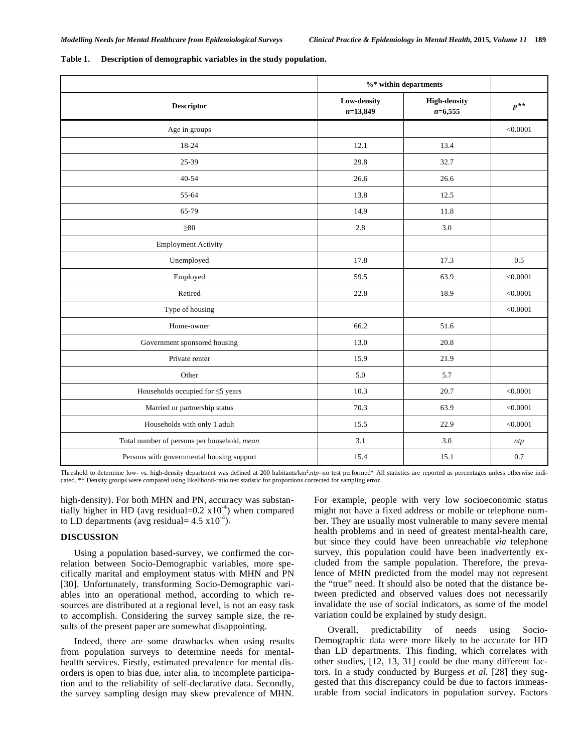|                                             | $\%$ within departments   |                                  |          |
|---------------------------------------------|---------------------------|----------------------------------|----------|
| <b>Descriptor</b>                           | Low-density<br>$n=13,849$ | <b>High-density</b><br>$n=6,555$ | $p^{**}$ |
| Age in groups                               |                           |                                  | < 0.0001 |
| 18-24                                       | 12.1                      | 13.4                             |          |
| 25-39                                       | 29.8                      | 32.7                             |          |
| $40 - 54$                                   | 26.6                      | 26.6                             |          |
| 55-64                                       | 13.8                      | 12.5                             |          |
| 65-79                                       | 14.9                      | 11.8                             |          |
| $\geq 80$                                   | 2.8                       | 3.0                              |          |
| <b>Employment Activity</b>                  |                           |                                  |          |
| Unemployed                                  | 17.8                      | 17.3                             | 0.5      |
| Employed                                    | 59.5                      | 63.9                             | < 0.0001 |
| Retired                                     | 22.8                      | 18.9                             | < 0.0001 |
| Type of housing                             |                           |                                  | < 0.0001 |
| Home-owner                                  | 66.2                      | 51.6                             |          |
| Government sponsored housing                | 13.0                      | 20.8                             |          |
| Private renter                              | 15.9                      | 21.9                             |          |
| Other                                       | 5.0                       | 5.7                              |          |
| Households occupied for $\leq$ 5 years      | 10.3                      | 20.7                             | < 0.0001 |
| Married or partnership status               | 70.3                      | 63.9                             | < 0.0001 |
| Households with only 1 adult                | 15.5                      | 22.9                             | < 0.0001 |
| Total number of persons per household, mean | 3.1                       | 3.0                              | ntp      |
| Persons with governmental housing support   | 15.4                      | 15.1                             | $0.7\,$  |

**Table 1. Description of demographic variables in the study population.** 

Threshold to determine low- vs. high-density department was defined at 200 habitants/km<sup>2</sup>.ntp=no test performed\* All statistics are reported as percentages unless otherwise indicated. \*\* Density groups were compared using likelihood-ratio test statistic for proportions corrected for sampling error.

high-density). For both MHN and PN, accuracy was substantially higher in HD (avg residual= $0.2 \times 10^{-4}$ ) when compared to LD departments (avg residual=  $4.5 \times 10^{-4}$ ).

# **DISCUSSION**

Using a population based-survey, we confirmed the correlation between Socio-Demographic variables, more specifically marital and employment status with MHN and PN [30]. Unfortunately, transforming Socio-Demographic variables into an operational method, according to which resources are distributed at a regional level, is not an easy task to accomplish. Considering the survey sample size, the results of the present paper are somewhat disappointing.

Indeed, there are some drawbacks when using results from population surveys to determine needs for mentalhealth services. Firstly, estimated prevalence for mental disorders is open to bias due, inter alia, to incomplete participation and to the reliability of self-declarative data. Secondly, the survey sampling design may skew prevalence of MHN.

For example, people with very low socioeconomic status might not have a fixed address or mobile or telephone number. They are usually most vulnerable to many severe mental health problems and in need of greatest mental-health care, but since they could have been unreachable *via* telephone survey, this population could have been inadvertently excluded from the sample population. Therefore, the prevalence of MHN predicted from the model may not represent the "true" need. It should also be noted that the distance between predicted and observed values does not necessarily invalidate the use of social indicators, as some of the model variation could be explained by study design.

Overall, predictability of needs using Socio-Demographic data were more likely to be accurate for HD than LD departments. This finding, which correlates with other studies, [12, 13, 31] could be due many different factors. In a study conducted by Burgess *et al.* [28] they suggested that this discrepancy could be due to factors immeasurable from social indicators in population survey. Factors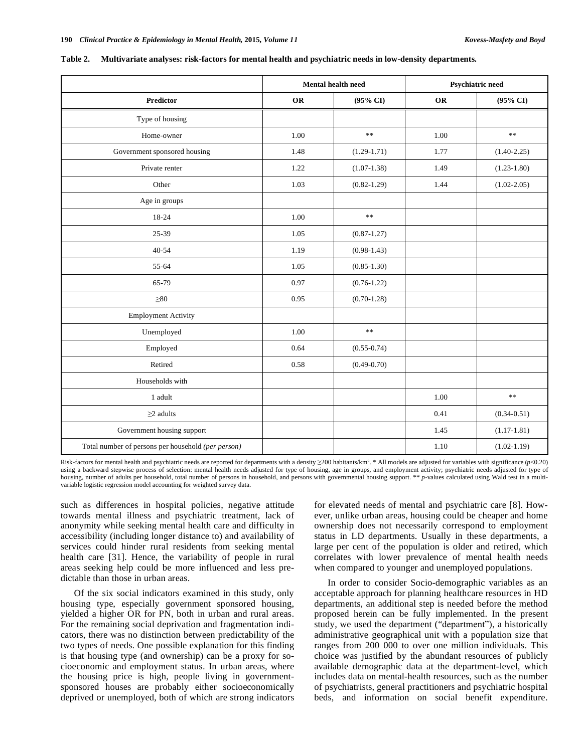|                                                    | <b>Mental health need</b> |                 | <b>Psychiatric need</b> |                 |
|----------------------------------------------------|---------------------------|-----------------|-------------------------|-----------------|
| <b>Predictor</b>                                   | <b>OR</b>                 | (95% CI)        | <b>OR</b>               | $(95\% \ CI)$   |
| Type of housing                                    |                           |                 |                         |                 |
| Home-owner                                         | 1.00                      | $\frac{1}{2}$   | 1.00                    | $\ast$ $\ast$   |
| Government sponsored housing                       | 1.48                      | $(1.29 - 1.71)$ | 1.77                    | $(1.40 - 2.25)$ |
| Private renter                                     | 1.22                      | $(1.07-1.38)$   | 1.49                    | $(1.23 - 1.80)$ |
| Other                                              | 1.03                      | $(0.82 - 1.29)$ | 1.44                    | $(1.02 - 2.05)$ |
| Age in groups                                      |                           |                 |                         |                 |
| 18-24                                              | 1.00                      | $\ast$          |                         |                 |
| 25-39                                              | 1.05                      | $(0.87 - 1.27)$ |                         |                 |
| $40 - 54$                                          | 1.19                      | $(0.98-1.43)$   |                         |                 |
| 55-64                                              | 1.05                      | $(0.85 - 1.30)$ |                         |                 |
| 65-79                                              | 0.97                      | $(0.76 - 1.22)$ |                         |                 |
| $\geq 80$                                          | 0.95                      | $(0.70 - 1.28)$ |                         |                 |
| <b>Employment Activity</b>                         |                           |                 |                         |                 |
| Unemployed                                         | 1.00                      | $\ast$          |                         |                 |
| Employed                                           | 0.64                      | $(0.55 - 0.74)$ |                         |                 |
| Retired                                            | 0.58                      | $(0.49 - 0.70)$ |                         |                 |
| Households with                                    |                           |                 |                         |                 |
| 1 adult                                            |                           |                 | 1.00                    | $\gg \gg$       |
| $\geq$ 2 adults                                    |                           |                 | 0.41                    | $(0.34 - 0.51)$ |
| Government housing support                         |                           |                 | 1.45                    | $(1.17-1.81)$   |
| Total number of persons per household (per person) |                           |                 | 1.10                    | $(1.02 - 1.19)$ |

|  | Table 2. |  |  |  | Multivariate analyses: risk-factors for mental health and psychiatric needs in low-density departments. |  |
|--|----------|--|--|--|---------------------------------------------------------------------------------------------------------|--|
|--|----------|--|--|--|---------------------------------------------------------------------------------------------------------|--|

Risk-factors for mental health and psychiatric needs are reported for departments with a density  $\geq$ 200 habitants/km<sup>2</sup>. \* All models are adjusted for variables with significance (*p*<0.20) using a backward stepwise process of selection: mental health needs adjusted for type of housing, age in groups, and employment activity; psychiatric needs adjusted for type of housing, number of adults per household, total number of persons in household, and persons with governmental housing support. \*\* *p*-values calculated using Wald test in a multivariable logistic regression model accounting for weighted survey data.

such as differences in hospital policies, negative attitude towards mental illness and psychiatric treatment, lack of anonymity while seeking mental health care and difficulty in accessibility (including longer distance to) and availability of services could hinder rural residents from seeking mental health care [31]. Hence, the variability of people in rural areas seeking help could be more influenced and less predictable than those in urban areas.

Of the six social indicators examined in this study, only housing type, especially government sponsored housing, yielded a higher OR for PN, both in urban and rural areas. For the remaining social deprivation and fragmentation indicators, there was no distinction between predictability of the two types of needs. One possible explanation for this finding is that housing type (and ownership) can be a proxy for socioeconomic and employment status. In urban areas, where the housing price is high, people living in governmentsponsored houses are probably either socioeconomically deprived or unemployed, both of which are strong indicators for elevated needs of mental and psychiatric care [8]. However, unlike urban areas, housing could be cheaper and home ownership does not necessarily correspond to employment status in LD departments. Usually in these departments, a large per cent of the population is older and retired, which correlates with lower prevalence of mental health needs when compared to younger and unemployed populations.

In order to consider Socio-demographic variables as an acceptable approach for planning healthcare resources in HD departments, an additional step is needed before the method proposed herein can be fully implemented. In the present study, we used the department ("department"), a historically administrative geographical unit with a population size that ranges from 200 000 to over one million individuals. This choice was justified by the abundant resources of publicly available demographic data at the department-level, which includes data on mental-health resources, such as the number of psychiatrists, general practitioners and psychiatric hospital beds, and information on social benefit expenditure.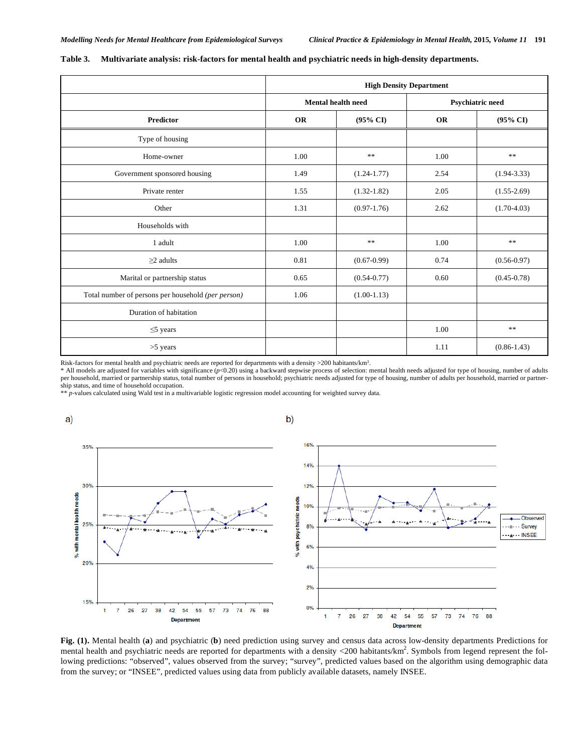|                                                    | <b>High Density Department</b> |                     |           |                         |  |
|----------------------------------------------------|--------------------------------|---------------------|-----------|-------------------------|--|
|                                                    | <b>Mental health need</b>      |                     |           | <b>Psychiatric need</b> |  |
| Predictor                                          | <b>OR</b>                      | $(95\% \text{ CI})$ | <b>OR</b> | $(95\% \text{ CI})$     |  |
| Type of housing                                    |                                |                     |           |                         |  |
| Home-owner                                         | 1.00                           | **                  | 1.00      | $\ast$ $\ast$           |  |
| Government sponsored housing                       | 1.49                           | $(1.24 - 1.77)$     | 2.54      | $(1.94 - 3.33)$         |  |
| Private renter                                     | 1.55                           | $(1.32 - 1.82)$     | 2.05      | $(1.55-2.69)$           |  |
| Other                                              | 1.31                           | $(0.97-1.76)$       | 2.62      | $(1.70 - 4.03)$         |  |
| Households with                                    |                                |                     |           |                         |  |
| 1 adult                                            | 1.00                           | $\ast$              | 1.00      | $\ast$ $\ast$           |  |
| $\geq$ 2 adults                                    | 0.81                           | $(0.67 - 0.99)$     | 0.74      | $(0.56 - 0.97)$         |  |
| Marital or partnership status                      | 0.65                           | $(0.54 - 0.77)$     | 0.60      | $(0.45 - 0.78)$         |  |
| Total number of persons per household (per person) | 1.06                           | $(1.00-1.13)$       |           |                         |  |
| Duration of habitation                             |                                |                     |           |                         |  |
| $\leq$ years                                       |                                |                     | 1.00      | **                      |  |
| $>5$ years                                         |                                |                     | 1.11      | $(0.86 - 1.43)$         |  |

#### **Table 3. Multivariate analysis: risk-factors for mental health and psychiatric needs in high-density departments.**

Risk-factors for mental health and psychiatric needs are reported for departments with a density >200 habitants/km.

\* All models are adjusted for variables with significance (*p*<0.20) using a backward stepwise process of selection: mental health needs adjusted for type of housing, number of adults per household, married or partnership status, total number of persons in household; psychiatric needs adjusted for type of housing, number of adults per household, married or partnership status, and time of household occupation.

\*\* *p*-values calculated using Wald test in a multivariable logistic regression model accounting for weighted survey data.



**Fig. (1).** Mental health (**a**) and psychiatric (**b**) need prediction using survey and census data across low-density departments Predictions for mental health and psychiatric needs are reported for departments with a density <200 habitants/ $km^2$ . Symbols from legend represent the following predictions: "observed", values observed from the survey; "survey", predicted values based on the algorithm using demographic data from the survey; or "INSEE", predicted values using data from publicly available datasets, namely INSEE.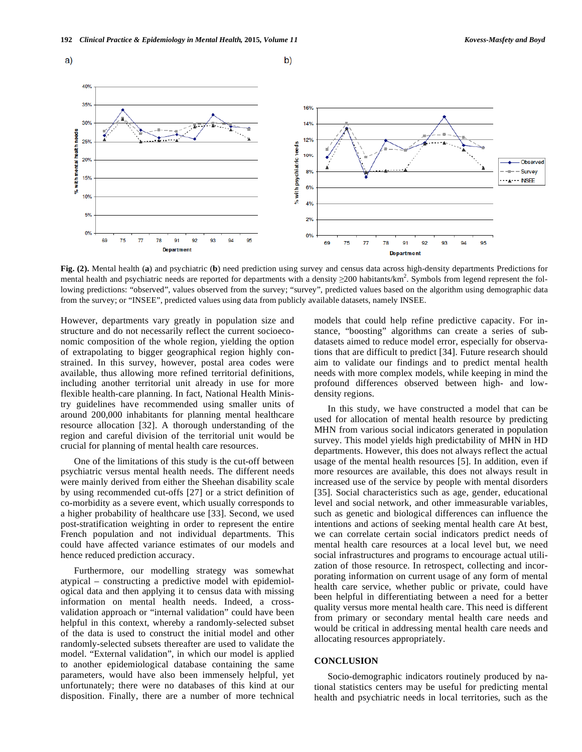

**Fig. (2).** Mental health (**a**) and psychiatric (**b**) need prediction using survey and census data across high-density departments Predictions for mental health and psychiatric needs are reported for departments with a density  $\geq$ 200 habitants/km<sup>2</sup>. Symbols from legend represent the following predictions: "observed", values observed from the survey; "survey", predicted values based on the algorithm using demographic data from the survey; or "INSEE", predicted values using data from publicly available datasets, namely INSEE.

However, departments vary greatly in population size and structure and do not necessarily reflect the current socioeconomic composition of the whole region, yielding the option of extrapolating to bigger geographical region highly constrained. In this survey, however, postal area codes were available, thus allowing more refined territorial definitions, including another territorial unit already in use for more flexible health-care planning. In fact, National Health Ministry guidelines have recommended using smaller units of around 200,000 inhabitants for planning mental healthcare resource allocation [32]. A thorough understanding of the region and careful division of the territorial unit would be crucial for planning of mental health care resources.

One of the limitations of this study is the cut-off between psychiatric versus mental health needs. The different needs were mainly derived from either the Sheehan disability scale by using recommended cut-offs [27] or a strict definition of co-morbidity as a severe event, which usually corresponds to a higher probability of healthcare use [33]. Second, we used post-stratification weighting in order to represent the entire French population and not individual departments. This could have affected variance estimates of our models and hence reduced prediction accuracy.

Furthermore, our modelling strategy was somewhat atypical – constructing a predictive model with epidemiological data and then applying it to census data with missing information on mental health needs. Indeed, a crossvalidation approach or "internal validation" could have been helpful in this context, whereby a randomly-selected subset of the data is used to construct the initial model and other randomly-selected subsets thereafter are used to validate the model. "External validation", in which our model is applied to another epidemiological database containing the same parameters, would have also been immensely helpful, yet unfortunately; there were no databases of this kind at our disposition. Finally, there are a number of more technical models that could help refine predictive capacity. For instance, "boosting" algorithms can create a series of subdatasets aimed to reduce model error, especially for observations that are difficult to predict [34]. Future research should aim to validate our findings and to predict mental health needs with more complex models, while keeping in mind the profound differences observed between high- and lowdensity regions.

In this study, we have constructed a model that can be used for allocation of mental health resource by predicting MHN from various social indicators generated in population survey. This model yields high predictability of MHN in HD departments. However, this does not always reflect the actual usage of the mental health resources [5]. In addition, even if more resources are available, this does not always result in increased use of the service by people with mental disorders [35]. Social characteristics such as age, gender, educational level and social network, and other immeasurable variables, such as genetic and biological differences can influence the intentions and actions of seeking mental health care At best, we can correlate certain social indicators predict needs of mental health care resources at a local level but, we need social infrastructures and programs to encourage actual utilization of those resource. In retrospect, collecting and incorporating information on current usage of any form of mental health care service, whether public or private, could have been helpful in differentiating between a need for a better quality versus more mental health care. This need is different from primary or secondary mental health care needs and would be critical in addressing mental health care needs and allocating resources appropriately.

# **CONCLUSION**

Socio-demographic indicators routinely produced by national statistics centers may be useful for predicting mental health and psychiatric needs in local territories, such as the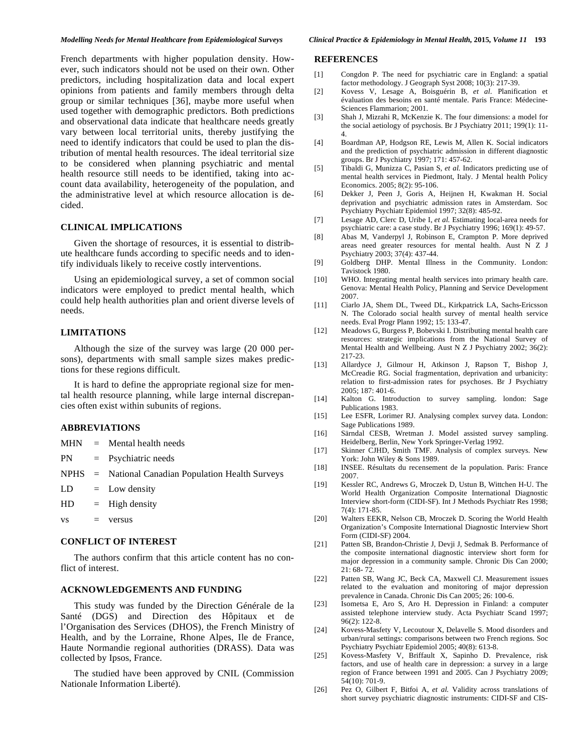French departments with higher population density. However, such indicators should not be used on their own. Other predictors, including hospitalization data and local expert opinions from patients and family members through delta group or similar techniques [36], maybe more useful when used together with demographic predictors. Both predictions and observational data indicate that healthcare needs greatly vary between local territorial units, thereby justifying the need to identify indicators that could be used to plan the distribution of mental health resources. The ideal territorial size to be considered when planning psychiatric and mental health resource still needs to be identified, taking into account data availability, heterogeneity of the population, and the administrative level at which resource allocation is decided.

#### **CLINICAL IMPLICATIONS**

Given the shortage of resources, it is essential to distribute healthcare funds according to specific needs and to identify individuals likely to receive costly interventions.

Using an epidemiological survey, a set of common social indicators were employed to predict mental health, which could help health authorities plan and orient diverse levels of needs.

# **LIMITATIONS**

Although the size of the survey was large (20 000 persons), departments with small sample sizes makes predictions for these regions difficult.

It is hard to define the appropriate regional size for mental health resource planning, while large internal discrepancies often exist within subunits of regions.

# **ABBREVIATIONS**

 $vs = versus$ 

|  | $MHN = Mendal health needs$                          |
|--|------------------------------------------------------|
|  | $PN = Pychiatric needs$                              |
|  | $NPHS = National Canadian Population Health Surveys$ |
|  | $LD = Low density$                                   |
|  | $HD = High density$                                  |
|  |                                                      |

#### **CONFLICT OF INTEREST**

The authors confirm that this article content has no conflict of interest.

# **ACKNOWLEDGEMENTS AND FUNDING**

This study was funded by the Direction Générale de la Santé (DGS) and Direction des Hôpitaux et de l'Organisation des Services (DHOS), the French Ministry of Health, and by the Lorraine, Rhone Alpes, Ile de France, Haute Normandie regional authorities (DRASS). Data was collected by Ipsos, France.

The studied have been approved by CNIL (Commission Nationale Information Liberté).

### **REFERENCES**

- [1] Congdon P. The need for psychiatric care in England: a spatial factor methodology. J Geograph Syst 2008; 10(3): 217-39.
- [2] Kovess V, Lesage A, Boisguérin B, *et al.* Planification et évaluation des besoins en santé mentale. Paris France: Médecine-Sciences Flammarion; 2001.
- [3] Shah J, Mizrahi R, McKenzie K. The four dimensions: a model for the social aetiology of psychosis. Br J Psychiatry 2011; 199(1): 11- 4.
- [4] Boardman AP, Hodgson RE, Lewis M, Allen K. Social indicators and the prediction of psychiatric admission in different diagnostic groups. Br J Psychiatry 1997; 171: 457-62.
- [5] Tibaldi G, Munizza C, Pasian S, *et al.* Indicators predicting use of mental health services in Piedmont, Italy. J Mental health Policy Economics. 2005; 8(2): 95-106.
- [6] Dekker J, Peen J, Goris A, Heijnen H, Kwakman H. Social deprivation and psychiatric admission rates in Amsterdam. Soc Psychiatry Psychiatr Epidemiol 1997; 32(8): 485-92.
- [7] Lesage AD, Clerc D, Uribe I, *et al.* Estimating local-area needs for psychiatric care: a case study. Br J Psychiatry 1996; 169(1): 49-57.
- [8] Abas M, Vanderpyl J, Robinson E, Crampton P. More deprived areas need greater resources for mental health. Aust N Z J Psychiatry 2003; 37(4): 437-44.
- [9] Goldberg DHP. Mental Illness in the Community. London: Tavistock 1980.
- [10] WHO. Integrating mental health services into primary health care. Genova: Mental Health Policy, Planning and Service Development 2007.
- [11] Ciarlo JA, Shem DL, Tweed DL, Kirkpatrick LA, Sachs-Ericsson N*.* The Colorado social health survey of mental health service needs. Eval Progr Plann 1992; 15: 133-47.
- [12] Meadows G, Burgess P, Bobevski I. Distributing mental health care resources: strategic implications from the National Survey of Mental Health and Wellbeing. Aust N Z J Psychiatry 2002; 36(2): 217-23.
- [13] Allardyce J, Gilmour H, Atkinson J, Rapson T, Bishop J, McCreadie RG. Social fragmentation, deprivation and urbanicity: relation to first-admission rates for psychoses. Br J Psychiatry 2005; 187: 401-6.
- [14] Kalton G. Introduction to survey sampling. london: Sage Publications 1983.
- [15] Lee ESFR, Lorimer RJ. Analysing complex survey data. London: Sage Publications 1989.
- [16] Särndal CESB, Wretman J. Model assisted survey sampling. Heidelberg, Berlin, New York Springer-Verlag 1992.
- [17] Skinner CJHD, Smith TMF. Analysis of complex surveys. New York: John Wiley & Sons 1989.
- [18] INSEE. Résultats du recensement de la population. Paris: France 2007.
- [19] Kessler RC, Andrews G, Mroczek D, Ustun B, Wittchen H-U. The World Health Organization Composite International Diagnostic Interview short-form (CIDI-SF). Int J Methods Psychiatr Res 1998; 7(4): 171-85.
- [20] Walters EEKR, Nelson CB, Mroczek D. Scoring the World Health Organization's Composite International Diagnostic Interview Short Form (CIDI-SF) 2004.
- [21] Patten SB, Brandon-Christie J, Devji J, Sedmak B. Performance of the composite international diagnostic interview short form for major depression in a community sample. Chronic Dis Can 2000; 21: 68- 72.
- [22] Patten SB, Wang JC, Beck CA, Maxwell CJ. Measurement issues related to the evaluation and monitoring of major depression prevalence in Canada. Chronic Dis Can 2005; 26: 100-6.
- [23] Isometsa E, Aro S, Aro H. Depression in Finland: a computer assisted telephone interview study. Acta Psychiatr Scand 1997; 96(2): 122-8.
- [24] Kovess-Masfety V, Lecoutour X, Delavelle S. Mood disorders and urban/rural settings: comparisons between two French regions. Soc Psychiatry Psychiatr Epidemiol 2005; 40(8): 613-8.
- [25] Kovess-Masfety V, Briffault X, Sapinho D. Prevalence, risk factors, and use of health care in depression: a survey in a large region of France between 1991 and 2005. Can J Psychiatry 2009; 54(10): 701-9.
- [26] Pez O, Gilbert F, Bitfoi A, *et al.* Validity across translations of short survey psychiatric diagnostic instruments: CIDI-SF and CIS-